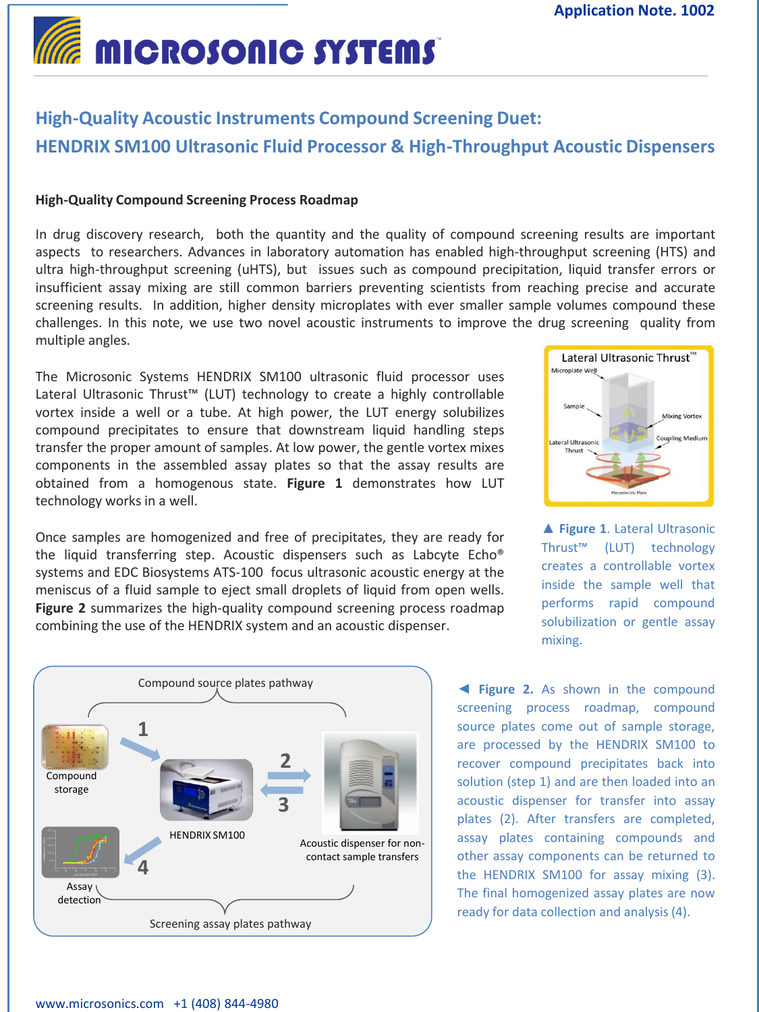# **MICROSONIC SYSTEMS**

# **High-Quality Acoustic Instruments Compound Screening Duet: HENDRIX SM100 Ultrasonic Fluid Processor & High-Throughput Acoustic Dispensers**

# **High-Quality Compound Screening Process Roadmap**

In drug discovery research, both the quantity and the quality of compound screening results are important aspects to researchers. Advances in laboratory automation has enabled high-throughput screening (HTS) and ultra high-throughput screening (uHTS), but issues such as compound precipitation, liquid transfer errors or insufficient assay mixing are still common barriers preventing scientists from reaching precise and accurate screening results. In addition, higher density microplates with ever smaller sample volumes compound these challenges. In this note, we use two novel acoustic instruments to improve the drug screening quality from multiple angles.

The Microsonic Systems HENDRIX SM100 ultrasonic fluid processor uses Lateral Ultrasonic Thrust™ (LUT) technology to create a highly controllable vortex inside a well or a tube. At high power, the LUT energy solubilizes compound precipitates to ensure that downstream liquid handling steps transfer the proper amount of samples. At low power, the gentle vortex mixes components in the assembled assay plates so that the assay results are obtained from a homogenous state. **Figure 1** demonstrates how LUT technology works in a well.

Once samples are homogenized and free of precipitates, they are ready for the liquid transferring step. Acoustic dispensers such as Labcyte Echo® systems and EDC Biosystems ATS-100 focus ultrasonic acoustic energy at the meniscus of a fluid sample to eject small droplets of liquid from open wells. **Figure 2** summarizes the high-quality compound screening process roadmap combining the use of the HENDRIX system and an acoustic dispenser.





**▲ Figure 1**. Lateral Ultrasonic Thrust™ (LUT) technology creates a controllable vortex inside the sample well that performs rapid compound solubilization or gentle assay mixing.

**◄ Figure 2.** As shown in the compound screening process roadmap, compound source plates come out of sample storage, are processed by the HENDRIX SM100 to recover compound precipitates back into solution (step 1) and are then loaded into an acoustic dispenser for transfer into assay plates (2). After transfers are completed, assay plates containing compounds and other assay components can be returned to the HENDRIX SM100 for assay mixing (3). The final homogenized assay plates are now ready for data collection and analysis (4).